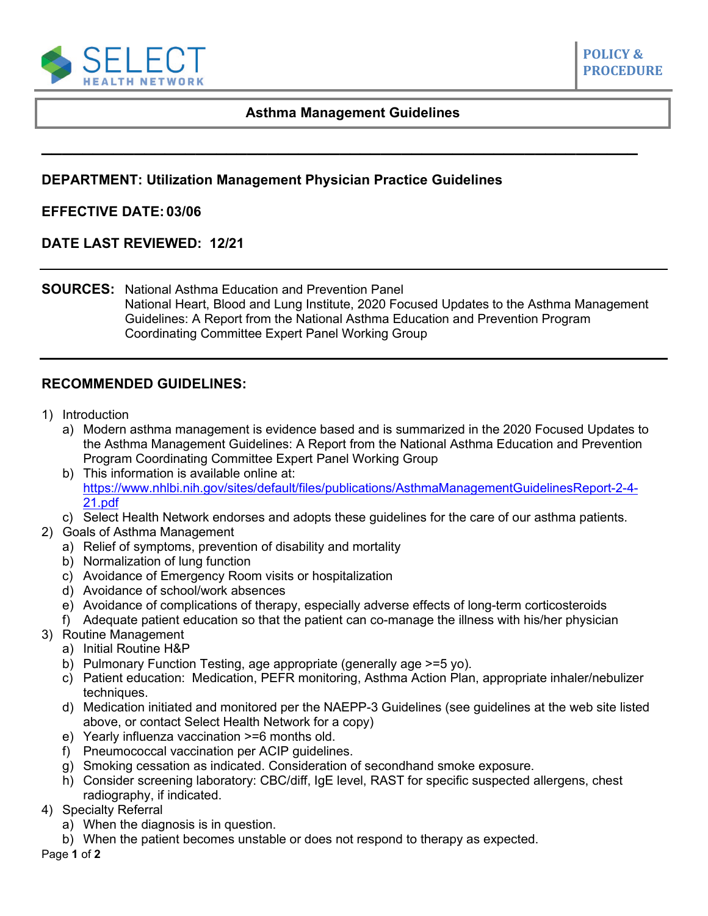

## **Asthma Management Guidelines**

**\_\_\_\_\_\_\_\_\_\_\_\_\_\_\_\_\_\_\_\_\_\_\_\_\_\_\_\_\_\_\_\_\_\_\_\_\_\_\_\_\_\_\_\_\_\_\_\_\_\_\_\_\_\_\_\_\_\_**

## **DEPARTMENT: Utilization Management Physician Practice Guidelines**

## **EFFECTIVE DATE: 03/06**

**DATE LAST REVIEWED: 12/21**

**SOURCES:** National Asthma Education and Prevention Panel National Heart, Blood and Lung Institute, 2020 Focused Updates to the Asthma Management Guidelines: A Report from the National Asthma Education and Prevention Program Coordinating Committee Expert Panel Working Group

## **RECOMMENDED GUIDELINES:**

- 1) Introduction
	- a) Modern asthma management is evidence based and is summarized in the 2020 Focused Updates to the Asthma Management Guidelines: A Report from the National Asthma Education and Prevention Program Coordinating Committee Expert Panel Working Group
	- b) This information is available online at: [https://www.nhlbi.nih.gov/sites/default/files/publications/AsthmaManagementGuidelinesReport-2-4-](https://www.nhlbi.nih.gov/sites/default/files/publications/AsthmaManagementGuidelinesReport-2-4-21.pdf) [21.pdf](https://www.nhlbi.nih.gov/sites/default/files/publications/AsthmaManagementGuidelinesReport-2-4-21.pdf)
	- c) Select Health Network endorses and adopts these guidelines for the care of our asthma patients.
- 2) Goals of Asthma Management
	- a) Relief of symptoms, prevention of disability and mortality
	- b) Normalization of lung function
	- c) Avoidance of Emergency Room visits or hospitalization
	- d) Avoidance of school/work absences
	- e) Avoidance of complications of therapy, especially adverse effects of long-term corticosteroids
	- f) Adequate patient education so that the patient can co-manage the illness with his/her physician
- 3) Routine Management
	- a) Initial Routine H&P
	- b) Pulmonary Function Testing, age appropriate (generally age >=5 yo).
	- c) Patient education: Medication, PEFR monitoring, Asthma Action Plan, appropriate inhaler/nebulizer techniques.
	- d) Medication initiated and monitored per the NAEPP-3 Guidelines (see guidelines at the web site listed above, or contact Select Health Network for a copy)
	- e) Yearly influenza vaccination >=6 months old.
	- f) Pneumococcal vaccination per ACIP guidelines.
	- g) Smoking cessation as indicated. Consideration of secondhand smoke exposure.
	- h) Consider screening laboratory: CBC/diff, IgE level, RAST for specific suspected allergens, chest radiography, if indicated.
- 4) Specialty Referral
	- a) When the diagnosis is in question.
	- b) When the patient becomes unstable or does not respond to therapy as expected.

Page **1** of **2**